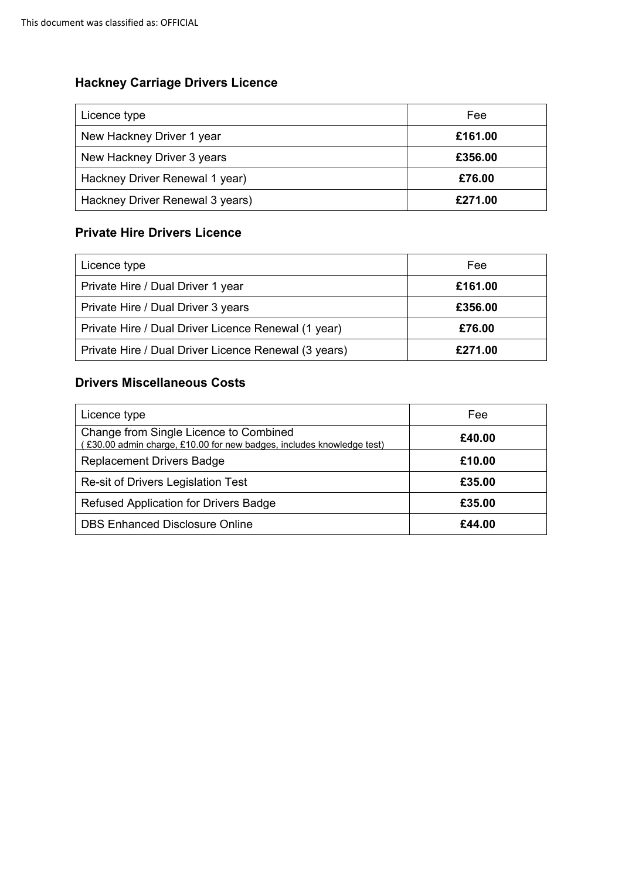### **Hackney Carriage Drivers Licence**

| Licence type                    | Fee     |
|---------------------------------|---------|
| New Hackney Driver 1 year       | £161.00 |
| New Hackney Driver 3 years      | £356.00 |
| Hackney Driver Renewal 1 year)  | £76.00  |
| Hackney Driver Renewal 3 years) | £271.00 |

#### **Private Hire Drivers Licence**

| Licence type                                         | Fee     |
|------------------------------------------------------|---------|
| Private Hire / Dual Driver 1 year                    | £161.00 |
| Private Hire / Dual Driver 3 years                   | £356.00 |
| Private Hire / Dual Driver Licence Renewal (1 year)  | £76.00  |
| Private Hire / Dual Driver Licence Renewal (3 years) | £271.00 |

#### **Drivers Miscellaneous Costs**

| Licence type                                                                                                   | Fee    |
|----------------------------------------------------------------------------------------------------------------|--------|
| Change from Single Licence to Combined<br>£30.00 admin charge, £10.00 for new badges, includes knowledge test) | £40.00 |
| <b>Replacement Drivers Badge</b>                                                                               | £10.00 |
| Re-sit of Drivers Legislation Test                                                                             | £35.00 |
| <b>Refused Application for Drivers Badge</b>                                                                   | £35.00 |
| <b>DBS Enhanced Disclosure Online</b>                                                                          | £44.00 |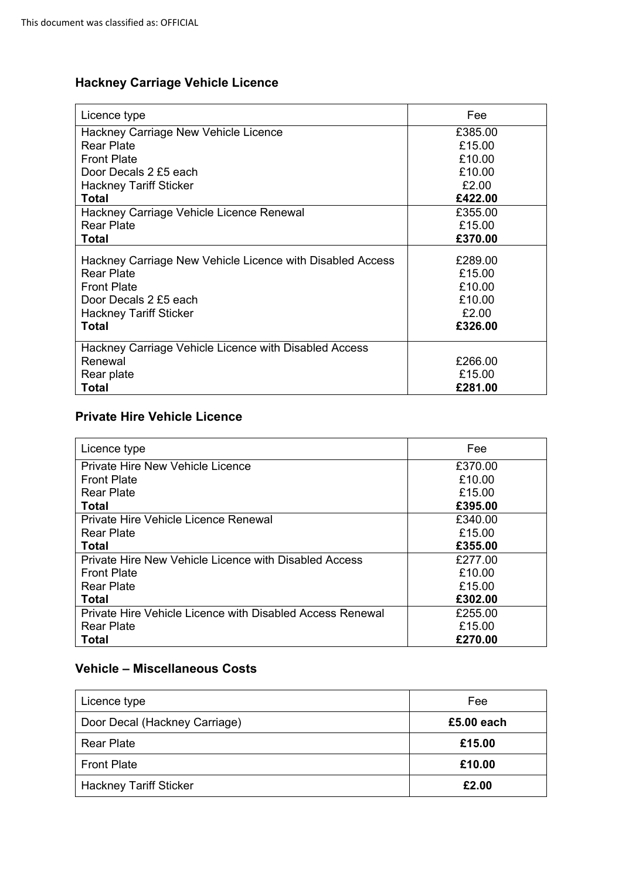## **Hackney Carriage Vehicle Licence**

| Licence type                                              | Fee     |
|-----------------------------------------------------------|---------|
| <b>Hackney Carriage New Vehicle Licence</b>               | £385.00 |
| Rear Plate                                                | £15.00  |
| <b>Front Plate</b>                                        | £10.00  |
| Door Decals 2 £5 each                                     | £10.00  |
| <b>Hackney Tariff Sticker</b>                             | £2.00   |
| Total                                                     | £422.00 |
| Hackney Carriage Vehicle Licence Renewal                  | £355.00 |
| Rear Plate                                                | £15.00  |
| Total                                                     | £370.00 |
| Hackney Carriage New Vehicle Licence with Disabled Access | £289.00 |
| <b>Rear Plate</b>                                         | £15.00  |
| <b>Front Plate</b>                                        | £10.00  |
| Door Decals 2 £5 each                                     | £10.00  |
| <b>Hackney Tariff Sticker</b>                             | £2.00   |
| Total                                                     | £326.00 |
| Hackney Carriage Vehicle Licence with Disabled Access     |         |
| Renewal                                                   | £266.00 |
| Rear plate                                                | £15.00  |
| Total                                                     | £281.00 |

#### **Private Hire Vehicle Licence**

| Licence type                                              | Fee     |
|-----------------------------------------------------------|---------|
| Private Hire New Vehicle Licence                          | £370.00 |
| <b>Front Plate</b>                                        | £10.00  |
| <b>Rear Plate</b>                                         | £15.00  |
| Total                                                     | £395.00 |
| <b>Private Hire Vehicle Licence Renewal</b>               | £340.00 |
| Rear Plate                                                | £15.00  |
| Total                                                     | £355.00 |
| Private Hire New Vehicle Licence with Disabled Access     | £277.00 |
| <b>Front Plate</b>                                        | £10.00  |
| Rear Plate                                                | £15.00  |
| Total                                                     | £302.00 |
| Private Hire Vehicle Licence with Disabled Access Renewal | £255.00 |
| <b>Rear Plate</b>                                         | £15.00  |
| Total                                                     | £270.00 |

### **Vehicle – Miscellaneous Costs**

| Licence type                  | Fee        |
|-------------------------------|------------|
| Door Decal (Hackney Carriage) | £5.00 each |
| Rear Plate                    | £15.00     |
| <b>Front Plate</b>            | £10.00     |
| <b>Hackney Tariff Sticker</b> | £2.00      |